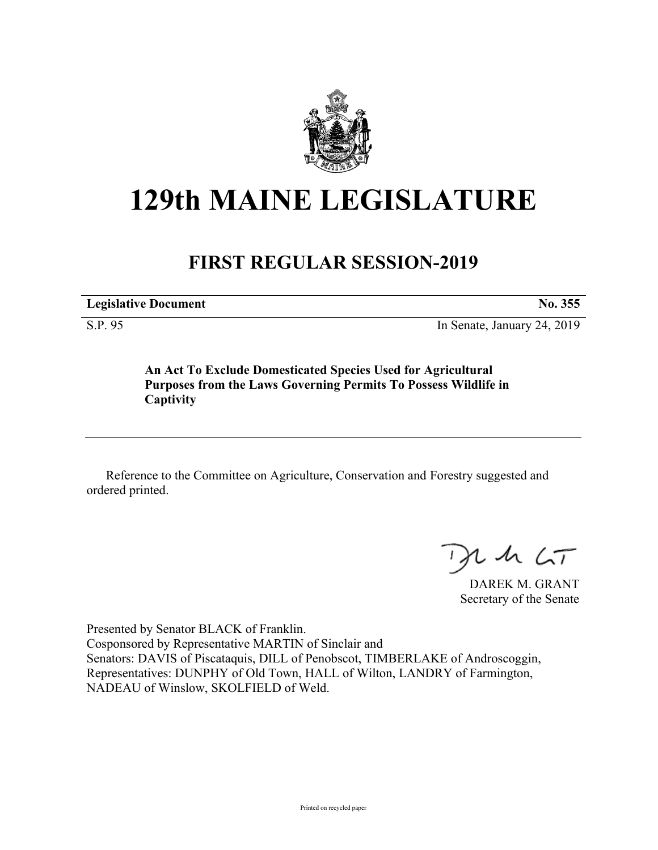

## **129th MAINE LEGISLATURE**

## **FIRST REGULAR SESSION-2019**

**Legislative Document No. 355**

S.P. 95 In Senate, January 24, 2019

**An Act To Exclude Domesticated Species Used for Agricultural Purposes from the Laws Governing Permits To Possess Wildlife in Captivity**

Reference to the Committee on Agriculture, Conservation and Forestry suggested and ordered printed.

 $246CT$ 

DAREK M. GRANT Secretary of the Senate

Presented by Senator BLACK of Franklin. Cosponsored by Representative MARTIN of Sinclair and Senators: DAVIS of Piscataquis, DILL of Penobscot, TIMBERLAKE of Androscoggin, Representatives: DUNPHY of Old Town, HALL of Wilton, LANDRY of Farmington, NADEAU of Winslow, SKOLFIELD of Weld.